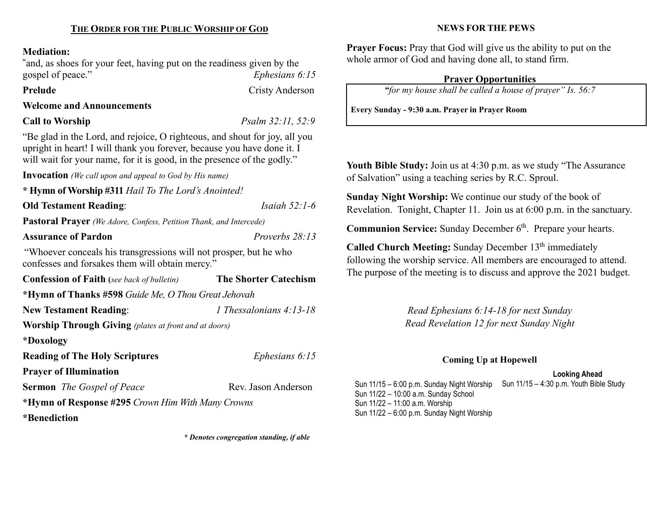#### Mediation:

"and, as shoes for your feet, having put on the readiness given by the gospel of peace." Ephesians 6:15

Prelude Cristy Anderson

# Welcome and Announcements

Call to Worship  $Psalm 32:11, 52:9$ 

"Be glad in the Lord, and rejoice, O righteous, and shout for joy, all you upright in heart! I will thank you forever, because you have done it. I will wait for your name, for it is good, in the presence of the godly."

Invocation (We call upon and appeal to God by His name)

\* Hymn of Worship #311 Hail To The Lord's Anointed!

**Old Testament Reading:** *Isaiah 52:1-6* Pastoral Prayer (We Adore, Confess, Petition Thank, and Intercede)

#### Assurance of Pardon **Proverbs** 28:13

"Whoever conceals his transgressions will not prosper, but he who confesses and forsakes them will obtain mercy."

Confession of Faith (see back of bulletin) The Shorter Catechism \*Hymn of Thanks #598 Guide Me, O Thou Great Jehovah New Testament Reading: 1 Thessalonians 4:13-18 Worship Through Giving (plates at front and at doors) \*Doxology Reading of The Holy Scriptures Ephesians 6:15 Prayer of Illumination Sermon The Gospel of Peace Rev. Jason Anderson \*Hymn of Response #295 Crown Him With Many Crowns

\*Benediction

\* Denotes congregation standing, if able

### NEWS FOR THE PEWS

Prayer Focus: Pray that God will give us the ability to put on the whole armor of God and having done all, to stand firm.

# Prayer Opportunities

"for my house shall be called a house of prayer" Is. 56:7

Every Sunday - 9:30 a.m. Prayer in Prayer Room

Youth Bible Study: Join us at 4:30 p.m. as we study "The Assurance of Salvation" using a teaching series by R.C. Sproul.

Sunday Night Worship: We continue our study of the book of Revelation. Tonight, Chapter 11. Join us at 6:00 p.m. in the sanctuary.

**Communion Service:** Sunday December  $6<sup>th</sup>$ . Prepare your hearts.

Called Church Meeting: Sunday December  $13<sup>th</sup>$  immediately following the worship service. All members are encouraged to attend. The purpose of the meeting is to discuss and approve the 2021 budget.

> Read Ephesians 6:14-18 for next Sunday Read Revelation 12 for next Sunday Night

# Coming Up at Hopewell

#### Looking Ahead

Sun 11/15 - 6:00 p.m. Sunday Night Worship Sun 11/15 - 4:30 p.m. Youth Bible Study Sun 11/22 – 10:00 a.m. Sunday School Sun 11/22 – 11:00 a.m. Worship Sun 11/22 – 6:00 p.m. Sunday Night Worship